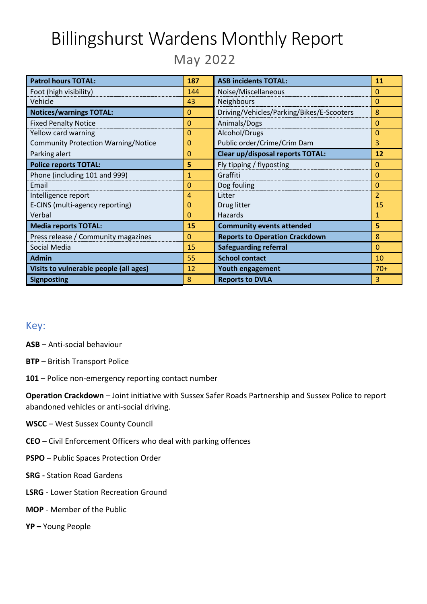# Billingshurst Wardens Monthly Report

May 2022

| <b>Patrol hours TOTAL:</b>                 | 187            | <b>ASB incidents TOTAL:</b>               | 11             |
|--------------------------------------------|----------------|-------------------------------------------|----------------|
| Foot (high visibility)                     | 144            | Noise/Miscellaneous                       | $\Omega$       |
| Vehicle                                    | 43             | Neighbours                                | $\Omega$       |
| <b>Notices/warnings TOTAL:</b>             | 0              | Driving/Vehicles/Parking/Bikes/E-Scooters | 8              |
| <b>Fixed Penalty Notice</b>                | 0              | Animals/Dogs                              | $\Omega$       |
| Yellow card warning                        | 0              | Alcohol/Drugs                             | $\Omega$       |
| <b>Community Protection Warning/Notice</b> | $\overline{0}$ | Public order/Crime/Crim Dam               | 3              |
| Parking alert                              | 0              | <b>Clear up/disposal reports TOTAL:</b>   | 12             |
| <b>Police reports TOTAL:</b>               | 5              | Fly tipping / flyposting                  | $\mathbf{0}$   |
| Phone (including 101 and 999)              | 1              | Graffiti                                  | $\Omega$       |
| Email                                      | 0              | Dog fouling                               | $\Omega$       |
| Intelligence report                        | 4              | Litter                                    | $\overline{2}$ |
| E-CINS (multi-agency reporting)            | 0              | Drug litter                               | 15             |
| Verbal                                     | 0              | <b>Hazards</b>                            | 1              |
| <b>Media reports TOTAL:</b>                | 15             | <b>Community events attended</b>          | 5              |
| Press release / Community magazines        | 0              | <b>Reports to Operation Crackdown</b>     | 8              |
| Social Media                               | 15             | <b>Safeguarding referral</b>              | $\Omega$       |
| <b>Admin</b>                               | 55             | <b>School contact</b>                     | 10             |
| Visits to vulnerable people (all ages)     | 12             | <b>Youth engagement</b>                   | $70+$          |
| <b>Signposting</b>                         | 8              | <b>Reports to DVLA</b>                    | 3              |

#### Key:

- **ASB** Anti-social behaviour
- **BTP**  British Transport Police
- **101**  Police non-emergency reporting contact number

**Operation Crackdown** – Joint initiative with Sussex Safer Roads Partnership and Sussex Police to report abandoned vehicles or anti-social driving.

- **WSCC** West Sussex County Council
- **CEO**  Civil Enforcement Officers who deal with parking offences
- **PSPO**  Public Spaces Protection Order
- **SRG -** Station Road Gardens
- **LSRG** Lower Station Recreation Ground
- **MOP** Member of the Public
- **YP –** Young People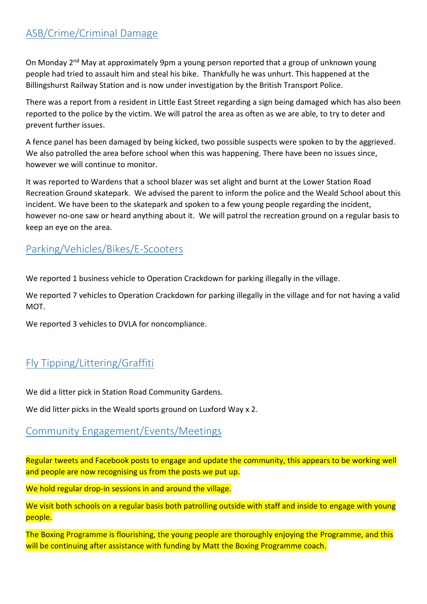# ASB/Crime/Criminal Damage

On Monday 2<sup>nd</sup> May at approximately 9pm a young person reported that a group of unknown young people had tried to assault him and steal his bike. Thankfully he was unhurt. This happened at the Billingshurst Railway Station and is now under investigation by the British Transport Police.

There was a report from a resident in Little East Street regarding a sign being damaged which has also been reported to the police by the victim. We will patrol the area as often as we are able, to try to deter and prevent further issues.

A fence panel has been damaged by being kicked, two possible suspects were spoken to by the aggrieved. We also patrolled the area before school when this was happening. There have been no issues since, however we will continue to monitor.

It was reported to Wardens that a school blazer was set alight and burnt at the Lower Station Road Recreation Ground skatepark. We advised the parent to inform the police and the Weald School about this incident. We have been to the skatepark and spoken to a few young people regarding the incident, however no-one saw or heard anything about it. We will patrol the recreation ground on a regular basis to keep an eye on the area.

#### Parking/Vehicles/Bikes/E-Scooters

We reported 1 business vehicle to Operation Crackdown for parking illegally in the village.

We reported 7 vehicles to Operation Crackdown for parking illegally in the village and for not having a valid MOT.

We reported 3 vehicles to DVLA for noncompliance.

## Fly Tipping/Littering/Graffiti

We did a litter pick in Station Road Community Gardens.

We did litter picks in the Weald sports ground on Luxford Way x 2.

#### Community Engagement/Events/Meetings

Regular tweets and Facebook posts to engage and update the community, this appears to be working well and people are now recognising us from the posts we put up.

We hold regular drop-in sessions in and around the village.

We visit both schools on a regular basis both patrolling outside with staff and inside to engage with young people.

The Boxing Programme is flourishing, the young people are thoroughly enjoying the Programme, and this will be continuing after assistance with funding by Matt the Boxing Programme coach.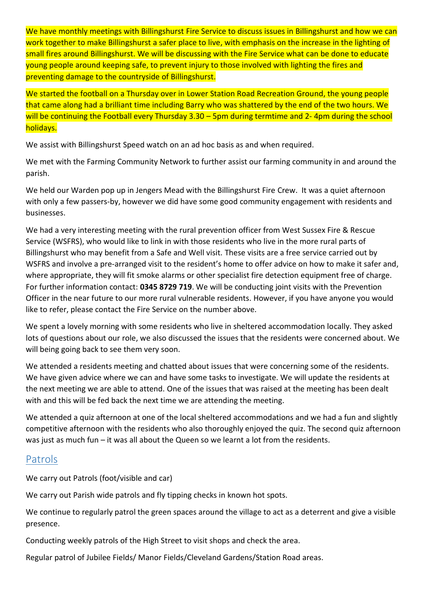We have monthly meetings with Billingshurst Fire Service to discuss issues in Billingshurst and how we can work together to make Billingshurst a safer place to live, with emphasis on the increase in the lighting of small fires around Billingshurst. We will be discussing with the Fire Service what can be done to educate young people around keeping safe, to prevent injury to those involved with lighting the fires and preventing damage to the countryside of Billingshurst.

We started the football on a Thursday over in Lower Station Road Recreation Ground, the young people that came along had a brilliant time including Barry who was shattered by the end of the two hours. We will be continuing the Football every Thursday 3.30 – 5pm during termtime and 2- 4pm during the school holidays.

We assist with Billingshurst Speed watch on an ad hoc basis as and when required.

We met with the Farming Community Network to further assist our farming community in and around the parish.

We held our Warden pop up in Jengers Mead with the Billingshurst Fire Crew. It was a quiet afternoon with only a few passers-by, however we did have some good community engagement with residents and businesses.

We had a very interesting meeting with the rural prevention officer from West Sussex Fire & Rescue Service (WSFRS), who would like to link in with those residents who live in the more rural parts of Billingshurst who may benefit from a Safe and Well visit. These visits are a free service carried out by WSFRS and involve a pre-arranged visit to the resident's home to offer advice on how to make it safer and, where appropriate, they will fit smoke alarms or other specialist fire detection equipment free of charge. For further information contact: **0345 8729 719**. We will be conducting joint visits with the Prevention Officer in the near future to our more rural vulnerable residents. However, if you have anyone you would like to refer, please contact the Fire Service on the number above.

We spent a lovely morning with some residents who live in sheltered accommodation locally. They asked lots of questions about our role, we also discussed the issues that the residents were concerned about. We will being going back to see them very soon.

We attended a residents meeting and chatted about issues that were concerning some of the residents. We have given advice where we can and have some tasks to investigate. We will update the residents at the next meeting we are able to attend. One of the issues that was raised at the meeting has been dealt with and this will be fed back the next time we are attending the meeting.

We attended a quiz afternoon at one of the local sheltered accommodations and we had a fun and slightly competitive afternoon with the residents who also thoroughly enjoyed the quiz. The second quiz afternoon was just as much fun – it was all about the Queen so we learnt a lot from the residents.

### Patrols

We carry out Patrols (foot/visible and car)

We carry out Parish wide patrols and fly tipping checks in known hot spots.

We continue to regularly patrol the green spaces around the village to act as a deterrent and give a visible presence.

Conducting weekly patrols of the High Street to visit shops and check the area.

Regular patrol of Jubilee Fields/ Manor Fields/Cleveland Gardens/Station Road areas.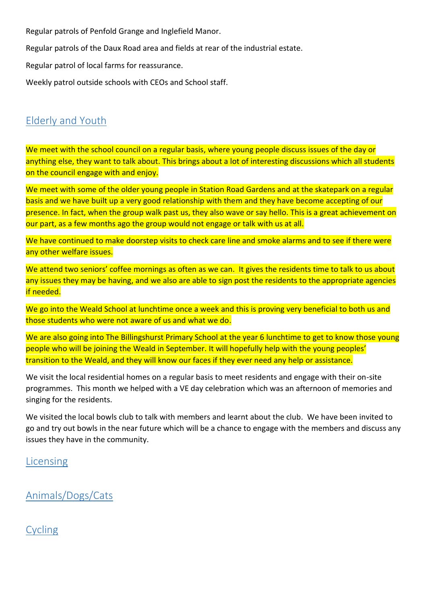Regular patrols of Penfold Grange and Inglefield Manor.

Regular patrols of the Daux Road area and fields at rear of the industrial estate.

Regular patrol of local farms for reassurance.

Weekly patrol outside schools with CEOs and School staff.

#### Elderly and Youth

We meet with the school council on a regular basis, where young people discuss issues of the day or anything else, they want to talk about. This brings about a lot of interesting discussions which all students on the council engage with and enjoy.

We meet with some of the older young people in Station Road Gardens and at the skatepark on a regular basis and we have built up a very good relationship with them and they have become accepting of our presence. In fact, when the group walk past us, they also wave or say hello. This is a great achievement on our part, as a few months ago the group would not engage or talk with us at all.

We have continued to make doorstep visits to check care line and smoke alarms and to see if there were any other welfare issues.

We attend two seniors' coffee mornings as often as we can. It gives the residents time to talk to us about any issues they may be having, and we also are able to sign post the residents to the appropriate agencies if needed.

We go into the Weald School at lunchtime once a week and this is proving very beneficial to both us and those students who were not aware of us and what we do.

We are also going into The Billingshurst Primary School at the year 6 lunchtime to get to know those young people who will be joining the Weald in September. It will hopefully help with the young peoples' transition to the Weald, and they will know our faces if they ever need any help or assistance.

We visit the local residential homes on a regular basis to meet residents and engage with their on-site programmes. This month we helped with a VE day celebration which was an afternoon of memories and singing for the residents.

We visited the local bowls club to talk with members and learnt about the club. We have been invited to go and try out bowls in the near future which will be a chance to engage with the members and discuss any issues they have in the community.

#### Licensing

Animals/Dogs/Cats

### Cycling